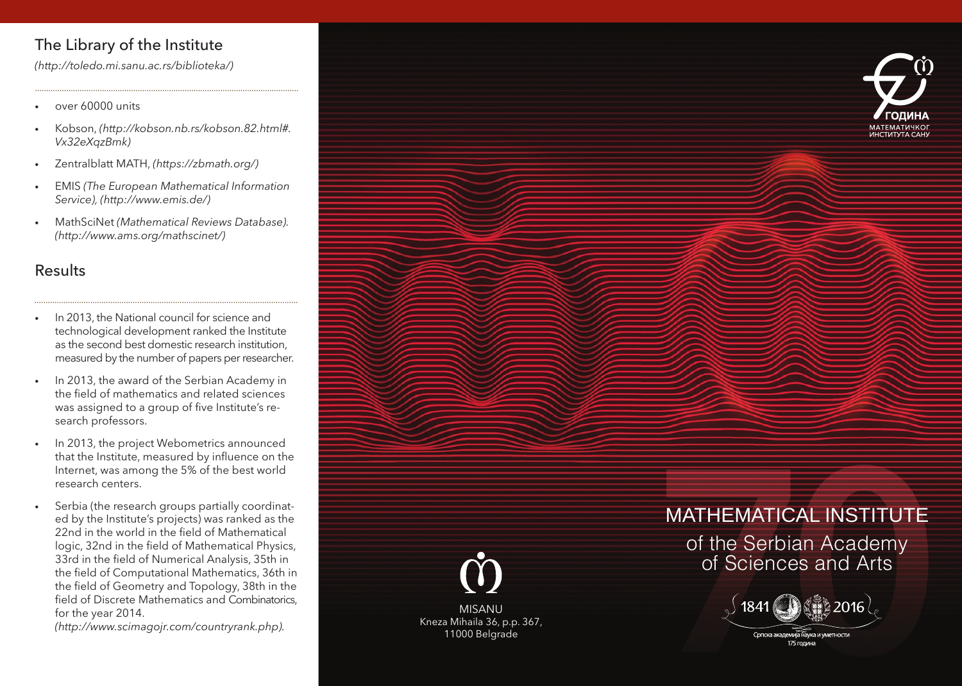# The Library of the Institute

*(http://toledo.mi.sanu.ac.rs/biblioteka/)*

- over 60000 units
- Kobson, *(http://kobson.nb.rs/kobson.82.html#. Vx32eXqzBmk)*
- Zentralblatt MATH, *(https://zbmath.org/)*
- EMIS *(The European Mathematical Information Service), (http://www.emis.de/)*
- MathSciNet *(Mathematical Reviews Database). (http://www.ams.org/mathscinet/)*

## Results

- In 2013, the National council for science and technological development ranked the Institute as the second best domestic research institution, measured by the number of papers per researcher.
- In 2013, the award of the Serbian Academy in the field of mathematics and related sciences was assigned to a group of five Institute's research professors.
- In 2013, the project Webometrics announced that the Institute, measured by influence on the Internet, was among the 5% of the best world research centers.
- Serbia (the research groups partially coordinated by the Institute's projects) was ranked as the 22nd in the world in the field of Mathematical logic, 32nd in the field of Mathematical Physics, 33rd in the field of Numerical Analysis, 35th in the field of Computational Mathematics, 36th in the field of Geometry and Topology, 38th in the field of Discrete Mathematics and Combinatorics, for the year 2014.

*(http://www.scimagojr.com/countryrank.php).*





MISANU Kneza Mihaila 36, p.p. 367, 11000 Belgrade

# MATHEMATICAL INSTITUTE

of the Serbian Academy of Sciences and Arts